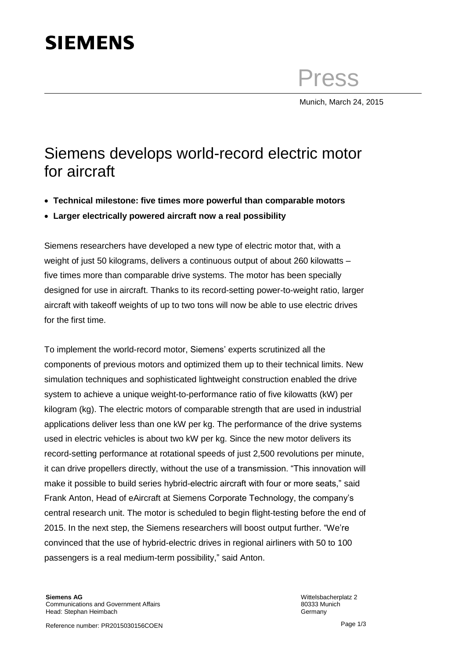## **SIEMENS**

Press

Munich, March 24, 2015

## Siemens develops world-record electric motor for aircraft

- **Technical milestone: five times more powerful than comparable motors**
- **Larger electrically powered aircraft now a real possibility**

Siemens researchers have developed a new type of electric motor that, with a weight of just 50 kilograms, delivers a continuous output of about 260 kilowatts – five times more than comparable drive systems. The motor has been specially designed for use in aircraft. Thanks to its record-setting power-to-weight ratio, larger aircraft with takeoff weights of up to two tons will now be able to use electric drives for the first time.

To implement the world-record motor, Siemens' experts scrutinized all the components of previous motors and optimized them up to their technical limits. New simulation techniques and sophisticated lightweight construction enabled the drive system to achieve a unique weight-to-performance ratio of five kilowatts (kW) per kilogram (kg). The electric motors of comparable strength that are used in industrial applications deliver less than one kW per kg. The performance of the drive systems used in electric vehicles is about two kW per kg. Since the new motor delivers its record-setting performance at rotational speeds of just 2,500 revolutions per minute, it can drive propellers directly, without the use of a transmission. "This innovation will make it possible to build series hybrid-electric aircraft with four or more seats," said Frank Anton, Head of eAircraft at Siemens Corporate Technology, the company's central research unit. The motor is scheduled to begin flight-testing before the end of 2015. In the next step, the Siemens researchers will boost output further. "We're convinced that the use of hybrid-electric drives in regional airliners with 50 to 100 passengers is a real medium-term possibility," said Anton.

Wittelsbacherplatz 2 80333 Munich Germany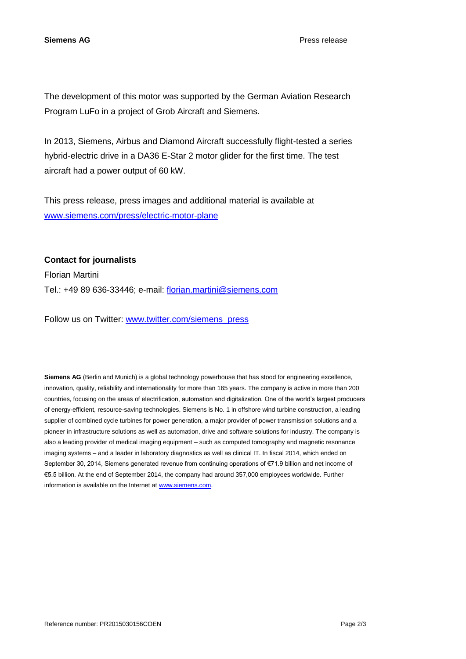**Siemens AG** Press release

The development of this motor was supported by the German Aviation Research Program LuFo in a project of Grob Aircraft and Siemens.

In 2013, Siemens, Airbus and Diamond Aircraft successfully flight-tested a series hybrid-electric drive in a DA36 E-Star 2 motor glider for the first time. The test aircraft had a power output of 60 kW.

This press release, press images and additional material is available at [www.siemens.com/press/electric-motor-plane](http://www.siemens.com/press/electric-motor-plane)

**Contact for journalists**

Florian Martini Tel.: +49 89 636-33446; e-mail: [florian.martini@siemens.com](mailto:florian.martini@siemens.com)

Follow us on Twitter: [www.twitter.com/siemens\\_press](http://www.twitter.com/siemens_press)

**Siemens AG** (Berlin and Munich) is a global technology powerhouse that has stood for engineering excellence, innovation, quality, reliability and internationality for more than 165 years. The company is active in more than 200 countries, focusing on the areas of electrification, automation and digitalization. One of the world's largest producers of energy-efficient, resource-saving technologies, Siemens is No. 1 in offshore wind turbine construction, a leading supplier of combined cycle turbines for power generation, a major provider of power transmission solutions and a pioneer in infrastructure solutions as well as automation, drive and software solutions for industry. The company is also a leading provider of medical imaging equipment – such as computed tomography and magnetic resonance imaging systems – and a leader in laboratory diagnostics as well as clinical IT. In fiscal 2014, which ended on September 30, 2014, Siemens generated revenue from continuing operations of €71.9 billion and net income of €5.5 billion. At the end of September 2014, the company had around 357,000 employees worldwide. Further information is available on the Internet at [www.siemens.com.](http://www.siemens.com/)